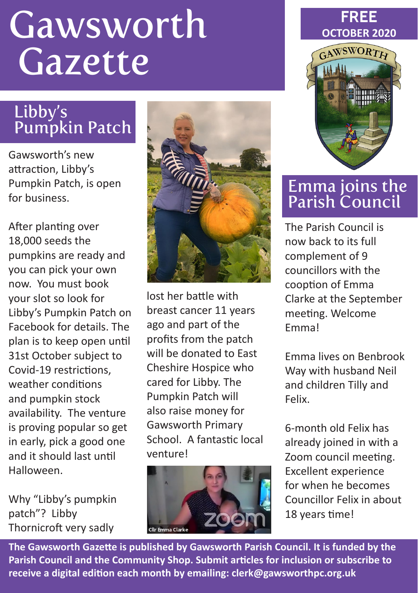# **Gawsworth** Gazette

## Libby's Pumpkin Patch

Gawsworth's new attraction, Libby's Pumpkin Patch, is open for business.

After planting over 18,000 seeds the pumpkins are ready and you can pick your own now. You must book your slot so look for Libby's Pumpkin Patch on Facebook for details. The plan is to keep open until 31st October subject to Covid-19 restrictions, weather conditions and pumpkin stock availability. The venture is proving popular so get in early, pick a good one and it should last until Halloween.

Why "Libby's pumpkin patch"? Libby Thornicroft very sadly



lost her battle with breast cancer 11 years ago and part of the profits from the patch will be donated to East Cheshire Hospice who cared for Libby. The Pumpkin Patch will also raise money for Gawsworth Primary School. A fantastic local venture!



#### **FREE OCTOBER 2020**



#### Emma joins the Parish Council

The Parish Council is now back to its full complement of 9 councillors with the cooption of Emma Clarke at the September meeting. Welcome Emma!

Emma lives on Benbrook Way with husband Neil and children Tilly and Felix.

6-month old Felix has already joined in with a Zoom council meeting. Excellent experience for when he becomes Councillor Felix in about 18 years time!

**The Gawsworth Gazette is published by Gawsworth Parish Council. It is funded by the Parish Council and the Community Shop. Submit articles for inclusion or subscribe to receive a digital edition each month by emailing: clerk@gawsworthpc.org.uk**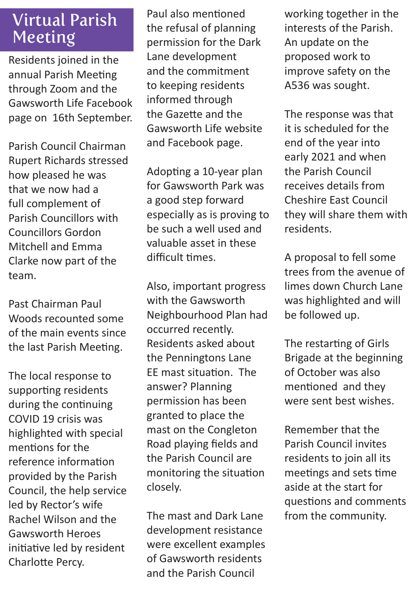#### Virtual Parish Meeting

Residents joined in the annual Parish Meeting through Zoom and the Gawsworth Life Facebook page on 16th September.

Parish Council Chairman Rupert Richards stressed how pleased he was that we now had a full complement of Parish Councillors with Councillors Gordon Mitchell and Emma Clarke now part of the team.

Past Chairman Paul Woods recounted some of the main events since the last Parish Meeting.

The local response to supporting residents during the continuing COVID 19 crisis was highlighted with special mentions for the reference information provided by the Parish Council, the help service led by Rector's wife Rachel Wilson and the Gawsworth Heroes initiative led by resident Charlotte Percy.

Paul also mentioned the refusal of planning permission for the Dark Lane development and the commitment to keeping residents informed through the Gazette and the Gawsworth Life website and Facebook page.

Adopting a 10-year plan for Gawsworth Park was a good step forward especially as is proving to be such a well used and valuable asset in these difficult times.

Also, important progress with the Gawsworth Neighbourhood Plan had occurred recently. Residents asked about the Penningtons Lane EE mast situation. The answer? Planning permission has been granted to place the mast on the Congleton Road playing fields and the Parish Council are monitoring the situation closely.

The mast and Dark Lane development resistance were excellent examples of Gawsworth residents and the Parish Council

working together in the interests of the Parish. An update on the proposed work to improve safety on the A536 was sought.

The response was that it is scheduled for the end of the year into early 2021 and when the Parish Council receives details from Cheshire East Council they will share them with residents.

A proposal to fell some trees from the avenue of limes down Church Lane was highlighted and will be followed up.

The restarting of Girls Brigade at the beginning of October was also mentioned and they were sent best wishes.

Remember that the Parish Council invites residents to join all its meetings and sets time aside at the start for questions and comments from the community.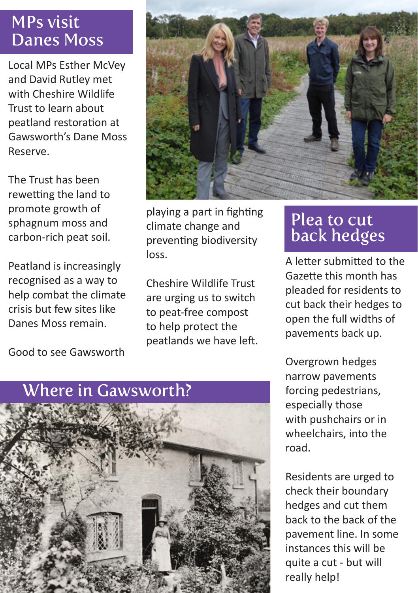#### MPs visit Danes Moss

Local MPs Esther McVey and David Rutley met with Cheshire Wildlife Trust to learn about peatland restoration at Gawsworth's Dane Moss Reserve.

The Trust has been rewetting the land to promote growth of sphagnum moss and carbon-rich peat soil.

Peatland is increasingly recognised as a way to help combat the climate crisis but few sites like Danes Moss remain.

Good to see Gawsworth



playing a part in fighting climate change and preventing biodiversity loss.

Cheshire Wildlife Trust are urging us to switch to peat-free compost to help protect the peatlands we have left.

### Plea to cut back hedges

A letter submitted to the Gazette this month has pleaded for residents to cut back their hedges to open the full widths of pavements back up.

Overgrown hedges narrow pavements forcing pedestrians, especially those with pushchairs or in wheelchairs, into the road.

Residents are urged to check their boundary hedges and cut them back to the back of the pavement line. In some instances this will be quite a cut - but will really help!